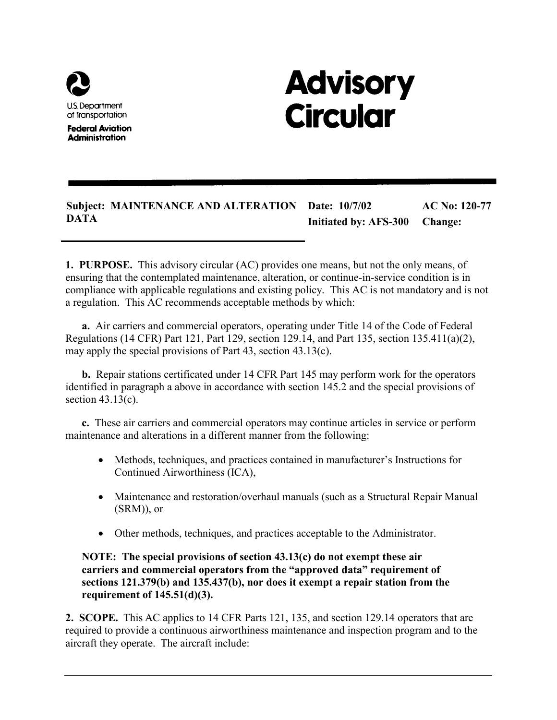

**Federal Aviation Administration** 

# **Advisory Circular**

## **Subject: MAINTENANCE AND ALTERATION Date: 10/7/02 AC No: 120-77 DATA** Initiated by: AFS-300 Change:

**1. PURPOSE.** This advisory circular (AC) provides one means, but not the only means, of ensuring that the contemplated maintenance, alteration, or continue-in-service condition is in compliance with applicable regulations and existing policy. This AC is not mandatory and is not a regulation. This AC recommends acceptable methods by which:

**a.** Air carriers and commercial operators, operating under Title 14 of the Code of Federal Regulations (14 CFR) Part 121, Part 129, section 129.14, and Part 135, section 135.411(a)(2), may apply the special provisions of Part 43, section 43.13(c).

**b.** Repair stations certificated under 14 CFR Part 145 may perform work for the operators identified in paragraph a above in accordance with section 145.2 and the special provisions of section  $43.13(c)$ .

**c.** These air carriers and commercial operators may continue articles in service or perform maintenance and alterations in a different manner from the following:

- Methods, techniques, and practices contained in manufacturer's Instructions for Continued Airworthiness (ICA),
- Maintenance and restoration/overhaul manuals (such as a Structural Repair Manual (SRM)), or
- Other methods, techniques, and practices acceptable to the Administrator.

**NOTE: The special provisions of section 43.13(c) do not exempt these air carriers and commercial operators from the "approved data" requirement of sections 121.379(b) and 135.437(b), nor does it exempt a repair station from the requirement of 145.51(d)(3).** 

**2. SCOPE.** This AC applies to 14 CFR Parts 121, 135, and section 129.14 operators that are required to provide a continuous airworthiness maintenance and inspection program and to the aircraft they operate. The aircraft include: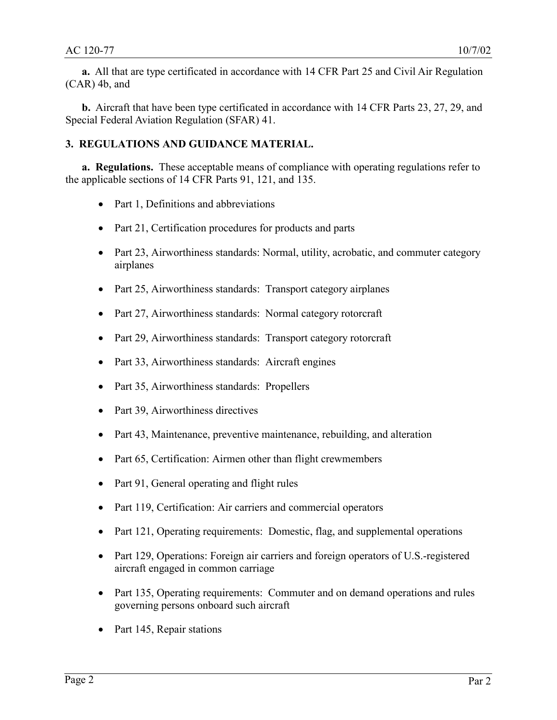**a.** All that are type certificated in accordance with 14 CFR Part 25 and Civil Air Regulation (CAR) 4b, and

**b.** Aircraft that have been type certificated in accordance with 14 CFR Parts 23, 27, 29, and Special Federal Aviation Regulation (SFAR) 41.

### **3. REGULATIONS AND GUIDANCE MATERIAL.**

**a. Regulations.** These acceptable means of compliance with operating regulations refer to the applicable sections of 14 CFR Parts 91, 121, and 135.

- Part 1, Definitions and abbreviations
- $\bullet$ Part 21, Certification procedures for products and parts
- Part 23, Airworthiness standards: Normal, utility, acrobatic, and commuter category airplanes
- $\bullet$ Part 25, Airworthiness standards: Transport category airplanes
- Part 27, Airworthiness standards: Normal category rotorcraft
- $\bullet$ Part 29, Airworthiness standards: Transport category rotorcraft
- $\bullet$ Part 33, Airworthiness standards: Aircraft engines
- $\bullet$ Part 35, Airworthiness standards: Propellers
- $\bullet$ Part 39, Airworthiness directives
- $\bullet$ Part 43, Maintenance, preventive maintenance, rebuilding, and alteration
- $\bullet$ Part 65, Certification: Airmen other than flight crewmembers
- $\bullet$ Part 91, General operating and flight rules
- $\bullet$ Part 119, Certification: Air carriers and commercial operators
- $\bullet$ Part 121, Operating requirements: Domestic, flag, and supplemental operations
- Part 129, Operations: Foreign air carriers and foreign operators of U.S.-registered aircraft engaged in common carriage
- $\bullet$ Part 135, Operating requirements: Commuter and on demand operations and rules governing persons onboard such aircraft
- $\bullet$ Part 145, Repair stations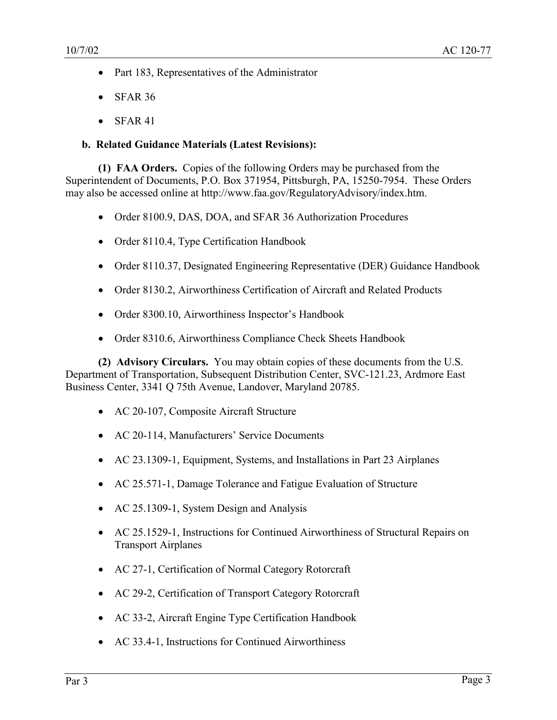- Part 183, Representatives of the Administrator
- SFAR 36
- $\bullet$  SFAR 41

#### **b. Related Guidance Materials (Latest Revisions):**

**(1) FAA Orders.** Copies of the following Orders may be purchased from the Superintendent of Documents, P.O. Box 371954, Pittsburgh, PA, 15250-7954. These Orders may also be accessed online at http://www.faa.gov/RegulatoryAdvisory/index.htm.

- Order 8100.9, DAS, DOA, and SFAR 36 Authorization Procedures
- Order 8110.4, Type Certification Handbook
- $\bullet$ Order 8110.37, Designated Engineering Representative (DER) Guidance Handbook
- Order 8130.2, Airworthiness Certification of Aircraft and Related Products
- Order 8300.10, Airworthiness Inspector's Handbook
- Order 8310.6, Airworthiness Compliance Check Sheets Handbook

**(2) Advisory Circulars.** You may obtain copies of these documents from the U.S. Department of Transportation, Subsequent Distribution Center, SVC-121.23, Ardmore East Business Center, 3341 Q 75th Avenue, Landover, Maryland 20785.

- AC 20-107, Composite Aircraft Structure
- AC 20-114, Manufacturers' Service Documents
- AC 23.1309-1, Equipment, Systems, and Installations in Part 23 Airplanes
- AC 25.571-1, Damage Tolerance and Fatigue Evaluation of Structure
- AC 25.1309-1, System Design and Analysis
- AC 25.1529-1, Instructions for Continued Airworthiness of Structural Repairs on Transport Airplanes
- AC 27-1, Certification of Normal Category Rotorcraft
- AC 29-2, Certification of Transport Category Rotorcraft
- AC 33-2, Aircraft Engine Type Certification Handbook
- AC 33.4-1, Instructions for Continued Airworthiness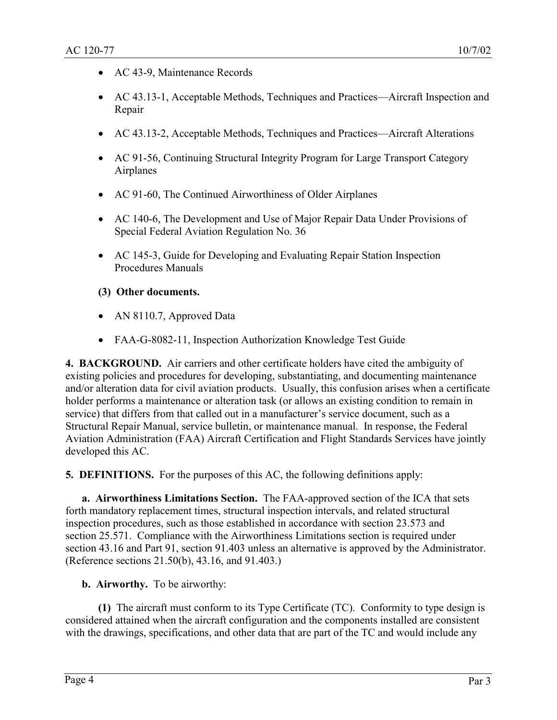- AC 43-9, Maintenance Records
- AC 43.13-1, Acceptable Methods, Techniques and Practices—Aircraft Inspection and Repair
- AC 43.13-2, Acceptable Methods, Techniques and Practices—Aircraft Alterations
- AC 91-56, Continuing Structural Integrity Program for Large Transport Category Airplanes
- AC 91-60, The Continued Airworthiness of Older Airplanes
- AC 140-6, The Development and Use of Major Repair Data Under Provisions of Special Federal Aviation Regulation No. 36
- AC 145-3, Guide for Developing and Evaluating Repair Station Inspection Procedures Manuals

#### **(3) Other documents.**

- AN 8110.7, Approved Data
- FAA-G-8082-11, Inspection Authorization Knowledge Test Guide

**4. BACKGROUND.** Air carriers and other certificate holders have cited the ambiguity of existing policies and procedures for developing, substantiating, and documenting maintenance and/or alteration data for civil aviation products. Usually, this confusion arises when a certificate holder performs a maintenance or alteration task (or allows an existing condition to remain in service) that differs from that called out in a manufacturer's service document, such as a Structural Repair Manual, service bulletin, or maintenance manual. In response, the Federal Aviation Administration (FAA) Aircraft Certification and Flight Standards Services have jointly developed this AC.

**5. DEFINITIONS.** For the purposes of this AC, the following definitions apply:

**a. Airworthiness Limitations Section.** The FAA-approved section of the ICA that sets forth mandatory replacement times, structural inspection intervals, and related structural inspection procedures, such as those established in accordance with section 23.573 and section 25.571. Compliance with the Airworthiness Limitations section is required under section 43.16 and Part 91, section 91.403 unless an alternative is approved by the Administrator. (Reference sections 21.50(b), 43.16, and 91.403.)

**b. Airworthy.** To be airworthy:

**(1)** The aircraft must conform to its Type Certificate (TC). Conformity to type design is considered attained when the aircraft configuration and the components installed are consistent with the drawings, specifications, and other data that are part of the TC and would include any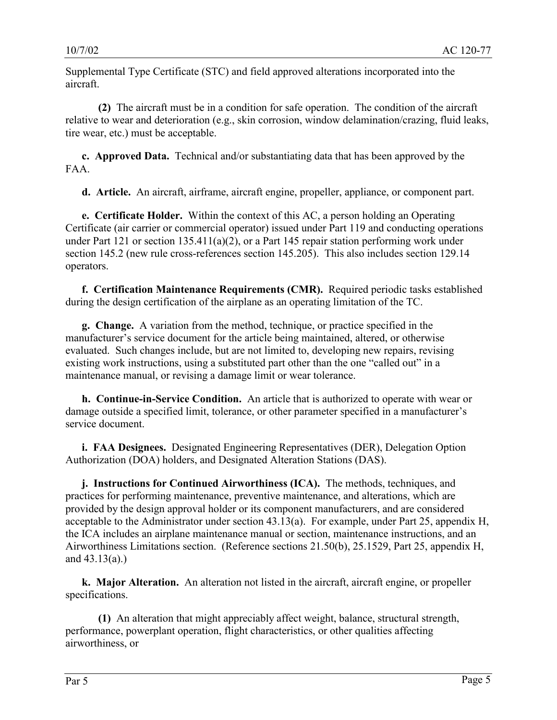Supplemental Type Certificate (STC) and field approved alterations incorporated into the aircraft.

**(2)** The aircraft must be in a condition for safe operation. The condition of the aircraft relative to wear and deterioration (e.g., skin corrosion, window delamination/crazing, fluid leaks, tire wear, etc.) must be acceptable.

**c. Approved Data.** Technical and/or substantiating data that has been approved by the FAA.

**d. Article.** An aircraft, airframe, aircraft engine, propeller, appliance, or component part.

**e. Certificate Holder.** Within the context of this AC, a person holding an Operating Certificate (air carrier or commercial operator) issued under Part 119 and conducting operations under Part 121 or section 135.411(a)(2), or a Part 145 repair station performing work under section 145.2 (new rule cross-references section 145.205). This also includes section 129.14 operators.

**f. Certification Maintenance Requirements (CMR).** Required periodic tasks established during the design certification of the airplane as an operating limitation of the TC.

**g. Change.** A variation from the method, technique, or practice specified in the manufacturer's service document for the article being maintained, altered, or otherwise evaluated. Such changes include, but are not limited to, developing new repairs, revising existing work instructions, using a substituted part other than the one "called out" in a maintenance manual, or revising a damage limit or wear tolerance.

**h. Continue-in-Service Condition.** An article that is authorized to operate with wear or damage outside a specified limit, tolerance, or other parameter specified in a manufacturer's service document.

**i. FAA Designees.** Designated Engineering Representatives (DER), Delegation Option Authorization (DOA) holders, and Designated Alteration Stations (DAS).

**j. Instructions for Continued Airworthiness (ICA).** The methods, techniques, and practices for performing maintenance, preventive maintenance, and alterations, which are provided by the design approval holder or its component manufacturers, and are considered acceptable to the Administrator under section 43.13(a). For example, under Part 25, appendix H, the ICA includes an airplane maintenance manual or section, maintenance instructions, and an Airworthiness Limitations section. (Reference sections 21.50(b), 25.1529, Part 25, appendix H, and 43.13(a).)

**k. Major Alteration.** An alteration not listed in the aircraft, aircraft engine, or propeller specifications.

**(1)** An alteration that might appreciably affect weight, balance, structural strength, performance, powerplant operation, flight characteristics, or other qualities affecting airworthiness, or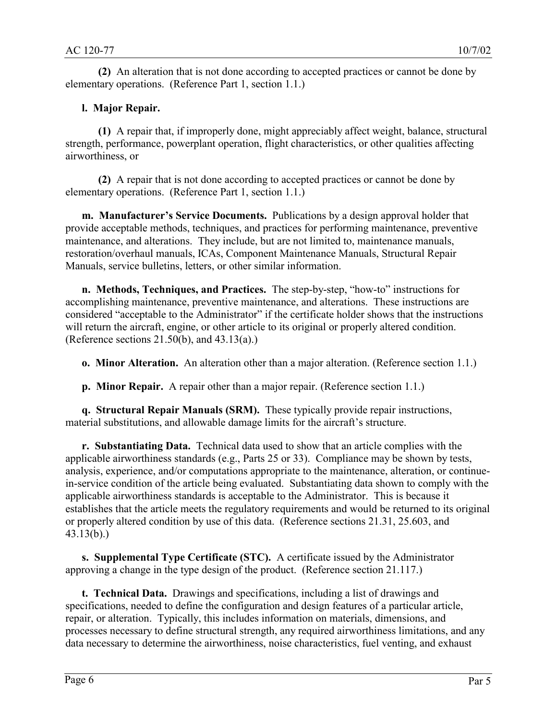**(2)** An alteration that is not done according to accepted practices or cannot be done by elementary operations. (Reference Part 1, section 1.1.)

## **l. Major Repair.**

**(1)** A repair that, if improperly done, might appreciably affect weight, balance, structural strength, performance, powerplant operation, flight characteristics, or other qualities affecting airworthiness, or

**(2)** A repair that is not done according to accepted practices or cannot be done by elementary operations. (Reference Part 1, section 1.1.)

**m. Manufacturer's Service Documents.** Publications by a design approval holder that provide acceptable methods, techniques, and practices for performing maintenance, preventive maintenance, and alterations. They include, but are not limited to, maintenance manuals, restoration/overhaul manuals, ICAs, Component Maintenance Manuals, Structural Repair Manuals, service bulletins, letters, or other similar information.

**n. Methods, Techniques, and Practices.** The step-by-step, "how-to" instructions for accomplishing maintenance, preventive maintenance, and alterations. These instructions are considered "acceptable to the Administrator" if the certificate holder shows that the instructions will return the aircraft, engine, or other article to its original or properly altered condition. (Reference sections 21.50(b), and 43.13(a).)

**o. Minor Alteration.** An alteration other than a major alteration. (Reference section 1.1.)

**p. Minor Repair.** A repair other than a major repair. (Reference section 1.1.)

**q. Structural Repair Manuals (SRM).** These typically provide repair instructions, material substitutions, and allowable damage limits for the aircraft's structure.

**r. Substantiating Data.** Technical data used to show that an article complies with the applicable airworthiness standards (e.g., Parts 25 or 33). Compliance may be shown by tests, analysis, experience, and/or computations appropriate to the maintenance, alteration, or continuein-service condition of the article being evaluated. Substantiating data shown to comply with the applicable airworthiness standards is acceptable to the Administrator. This is because it establishes that the article meets the regulatory requirements and would be returned to its original or properly altered condition by use of this data. (Reference sections 21.31, 25.603, and 43.13(b).)

**s. Supplemental Type Certificate (STC).** A certificate issued by the Administrator approving a change in the type design of the product. (Reference section 21.117.)

**t. Technical Data.** Drawings and specifications, including a list of drawings and specifications, needed to define the configuration and design features of a particular article, repair, or alteration. Typically, this includes information on materials, dimensions, and processes necessary to define structural strength, any required airworthiness limitations, and any data necessary to determine the airworthiness, noise characteristics, fuel venting, and exhaust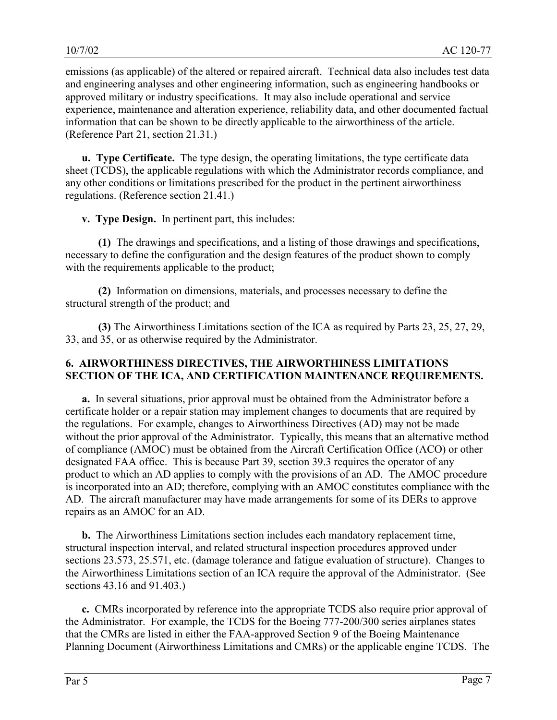emissions (as applicable) of the altered or repaired aircraft. Technical data also includes test data and engineering analyses and other engineering information, such as engineering handbooks or approved military or industry specifications. It may also include operational and service experience, maintenance and alteration experience, reliability data, and other documented factual information that can be shown to be directly applicable to the airworthiness of the article. (Reference Part 21, section 21.31.)

**u. Type Certificate.** The type design, the operating limitations, the type certificate data sheet (TCDS), the applicable regulations with which the Administrator records compliance, and any other conditions or limitations prescribed for the product in the pertinent airworthiness regulations. (Reference section 21.41.)

**v. Type Design.** In pertinent part, this includes:

**(1)** The drawings and specifications, and a listing of those drawings and specifications, necessary to define the configuration and the design features of the product shown to comply with the requirements applicable to the product;

**(2)** Information on dimensions, materials, and processes necessary to define the structural strength of the product; and

**(3)** The Airworthiness Limitations section of the ICA as required by Parts 23, 25, 27, 29, 33, and 35, or as otherwise required by the Administrator.

#### **6. AIRWORTHINESS DIRECTIVES, THE AIRWORTHINESS LIMITATIONS SECTION OF THE ICA, AND CERTIFICATION MAINTENANCE REQUIREMENTS.**

**a.** In several situations, prior approval must be obtained from the Administrator before a certificate holder or a repair station may implement changes to documents that are required by the regulations. For example, changes to Airworthiness Directives (AD) may not be made without the prior approval of the Administrator. Typically, this means that an alternative method of compliance (AMOC) must be obtained from the Aircraft Certification Office (ACO) or other designated FAA office. This is because Part 39, section 39.3 requires the operator of any product to which an AD applies to comply with the provisions of an AD. The AMOC procedure is incorporated into an AD; therefore, complying with an AMOC constitutes compliance with the AD. The aircraft manufacturer may have made arrangements for some of its DERs to approve repairs as an AMOC for an AD.

**b.** The Airworthiness Limitations section includes each mandatory replacement time, structural inspection interval, and related structural inspection procedures approved under sections 23.573, 25.571, etc. (damage tolerance and fatigue evaluation of structure). Changes to the Airworthiness Limitations section of an ICA require the approval of the Administrator. (See sections 43.16 and 91.403.)

**c.** CMRs incorporated by reference into the appropriate TCDS also require prior approval of the Administrator. For example, the TCDS for the Boeing 777-200/300 series airplanes states that the CMRs are listed in either the FAA-approved Section 9 of the Boeing Maintenance Planning Document (Airworthiness Limitations and CMRs) or the applicable engine TCDS. The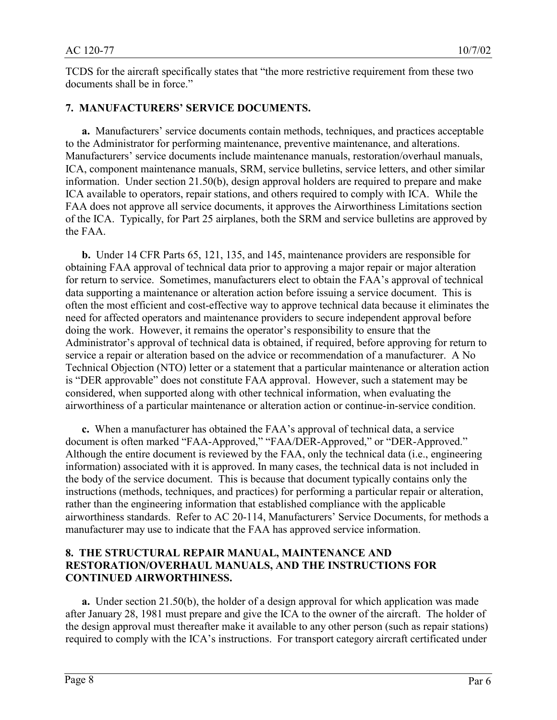TCDS for the aircraft specifically states that "the more restrictive requirement from these two documents shall be in force."

#### **7. MANUFACTURERS' SERVICE DOCUMENTS.**

**a.** Manufacturers' service documents contain methods, techniques, and practices acceptable to the Administrator for performing maintenance, preventive maintenance, and alterations. Manufacturers' service documents include maintenance manuals, restoration/overhaul manuals, ICA, component maintenance manuals, SRM, service bulletins, service letters, and other similar information. Under section 21.50(b), design approval holders are required to prepare and make ICA available to operators, repair stations, and others required to comply with ICA. While the FAA does not approve all service documents, it approves the Airworthiness Limitations section of the ICA. Typically, for Part 25 airplanes, both the SRM and service bulletins are approved by the FAA.

**b.** Under 14 CFR Parts 65, 121, 135, and 145, maintenance providers are responsible for obtaining FAA approval of technical data prior to approving a major repair or major alteration for return to service. Sometimes, manufacturers elect to obtain the FAA's approval of technical data supporting a maintenance or alteration action before issuing a service document. This is often the most efficient and cost-effective way to approve technical data because it eliminates the need for affected operators and maintenance providers to secure independent approval before doing the work. However, it remains the operator's responsibility to ensure that the Administrator's approval of technical data is obtained, if required, before approving for return to service a repair or alteration based on the advice or recommendation of a manufacturer. A No Technical Objection (NTO) letter or a statement that a particular maintenance or alteration action is "DER approvable" does not constitute FAA approval. However, such a statement may be considered, when supported along with other technical information, when evaluating the airworthiness of a particular maintenance or alteration action or continue-in-service condition.

**c.** When a manufacturer has obtained the FAA's approval of technical data, a service document is often marked "FAA-Approved," "FAA/DER-Approved," or "DER-Approved." Although the entire document is reviewed by the FAA, only the technical data (i.e., engineering information) associated with it is approved. In many cases, the technical data is not included in the body of the service document. This is because that document typically contains only the instructions (methods, techniques, and practices) for performing a particular repair or alteration, rather than the engineering information that established compliance with the applicable airworthiness standards. Refer to AC 20-114, Manufacturers' Service Documents, for methods a manufacturer may use to indicate that the FAA has approved service information.

#### **8. THE STRUCTURAL REPAIR MANUAL, MAINTENANCE AND RESTORATION/OVERHAUL MANUALS, AND THE INSTRUCTIONS FOR CONTINUED AIRWORTHINESS.**

**a.** Under section 21.50(b), the holder of a design approval for which application was made after January 28, 1981 must prepare and give the ICA to the owner of the aircraft. The holder of the design approval must thereafter make it available to any other person (such as repair stations) required to comply with the ICA's instructions. For transport category aircraft certificated under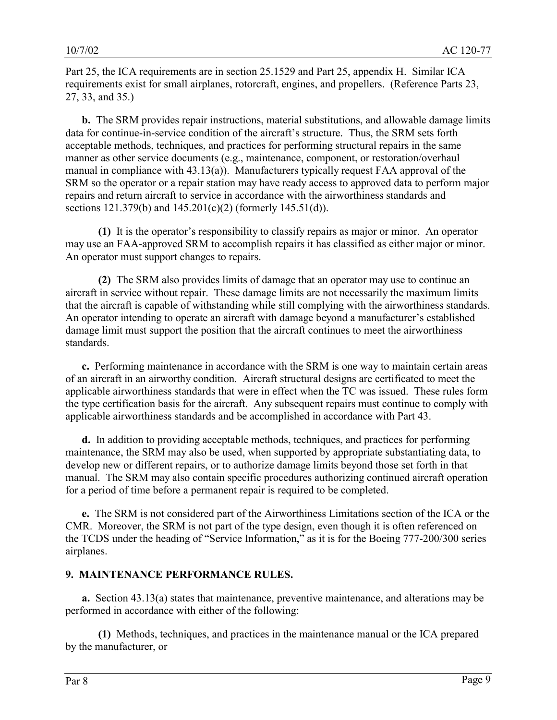Part 25, the ICA requirements are in section 25.1529 and Part 25, appendix H. Similar ICA requirements exist for small airplanes, rotorcraft, engines, and propellers. (Reference Parts 23, 27, 33, and 35.)

**b.** The SRM provides repair instructions, material substitutions, and allowable damage limits data for continue-in-service condition of the aircraft's structure. Thus, the SRM sets forth acceptable methods, techniques, and practices for performing structural repairs in the same manner as other service documents (e.g., maintenance, component, or restoration/overhaul manual in compliance with 43.13(a)). Manufacturers typically request FAA approval of the SRM so the operator or a repair station may have ready access to approved data to perform major repairs and return aircraft to service in accordance with the airworthiness standards and sections 121.379(b) and 145.201(c)(2) (formerly 145.51(d)).

**(1)** It is the operator's responsibility to classify repairs as major or minor. An operator may use an FAA-approved SRM to accomplish repairs it has classified as either major or minor. An operator must support changes to repairs.

**(2)** The SRM also provides limits of damage that an operator may use to continue an aircraft in service without repair. These damage limits are not necessarily the maximum limits that the aircraft is capable of withstanding while still complying with the airworthiness standards. An operator intending to operate an aircraft with damage beyond a manufacturer's established damage limit must support the position that the aircraft continues to meet the airworthiness standards.

**c.** Performing maintenance in accordance with the SRM is one way to maintain certain areas of an aircraft in an airworthy condition. Aircraft structural designs are certificated to meet the applicable airworthiness standards that were in effect when the TC was issued. These rules form the type certification basis for the aircraft. Any subsequent repairs must continue to comply with applicable airworthiness standards and be accomplished in accordance with Part 43.

**d.** In addition to providing acceptable methods, techniques, and practices for performing maintenance, the SRM may also be used, when supported by appropriate substantiating data, to develop new or different repairs, or to authorize damage limits beyond those set forth in that manual. The SRM may also contain specific procedures authorizing continued aircraft operation for a period of time before a permanent repair is required to be completed.

**e.** The SRM is not considered part of the Airworthiness Limitations section of the ICA or the CMR. Moreover, the SRM is not part of the type design, even though it is often referenced on the TCDS under the heading of "Service Information," as it is for the Boeing 777-200/300 series airplanes.

## **9. MAINTENANCE PERFORMANCE RULES.**

**a.** Section 43.13(a) states that maintenance, preventive maintenance, and alterations may be performed in accordance with either of the following:

**(1)** Methods, techniques, and practices in the maintenance manual or the ICA prepared by the manufacturer, or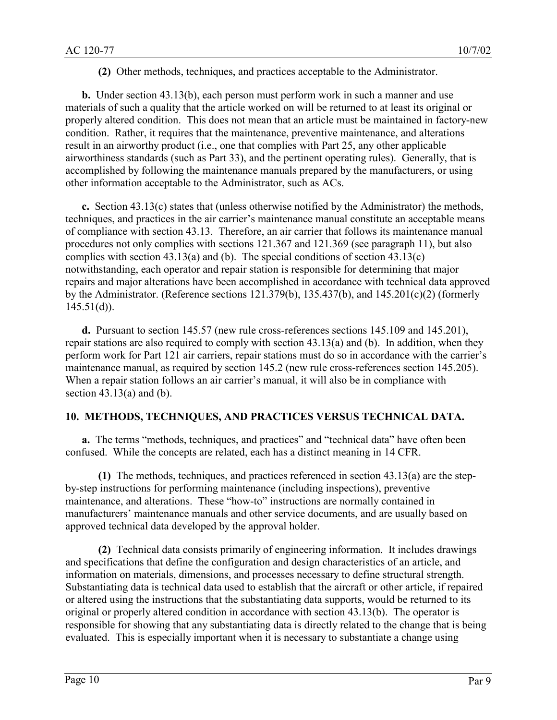**(2)** Other methods, techniques, and practices acceptable to the Administrator.

**b.** Under section 43.13(b), each person must perform work in such a manner and use materials of such a quality that the article worked on will be returned to at least its original or properly altered condition. This does not mean that an article must be maintained in factory-new condition. Rather, it requires that the maintenance, preventive maintenance, and alterations result in an airworthy product (i.e., one that complies with Part 25, any other applicable airworthiness standards (such as Part 33), and the pertinent operating rules). Generally, that is accomplished by following the maintenance manuals prepared by the manufacturers, or using other information acceptable to the Administrator, such as ACs.

**c.** Section 43.13(c) states that (unless otherwise notified by the Administrator) the methods, techniques, and practices in the air carrier's maintenance manual constitute an acceptable means of compliance with section 43.13. Therefore, an air carrier that follows its maintenance manual procedures not only complies with sections 121.367 and 121.369 (see paragraph 11), but also complies with section 43.13(a) and (b). The special conditions of section 43.13(c) notwithstanding, each operator and repair station is responsible for determining that major repairs and major alterations have been accomplished in accordance with technical data approved by the Administrator. (Reference sections 121.379(b), 135.437(b), and 145.201(c)(2) (formerly  $145.51(d)$ ).

**d.** Pursuant to section 145.57 (new rule cross-references sections 145.109 and 145.201), repair stations are also required to comply with section 43.13(a) and (b). In addition, when they perform work for Part 121 air carriers, repair stations must do so in accordance with the carrier's maintenance manual, as required by section 145.2 (new rule cross-references section 145.205). When a repair station follows an air carrier's manual, it will also be in compliance with section  $43.13(a)$  and  $(b)$ .

#### **10. METHODS, TECHNIQUES, AND PRACTICES VERSUS TECHNICAL DATA.**

**a.** The terms "methods, techniques, and practices" and "technical data" have often been confused. While the concepts are related, each has a distinct meaning in 14 CFR.

**(1)** The methods, techniques, and practices referenced in section 43.13(a) are the stepby-step instructions for performing maintenance (including inspections), preventive maintenance, and alterations. These "how-to" instructions are normally contained in manufacturers' maintenance manuals and other service documents, and are usually based on approved technical data developed by the approval holder.

**(2)** Technical data consists primarily of engineering information. It includes drawings and specifications that define the configuration and design characteristics of an article, and information on materials, dimensions, and processes necessary to define structural strength. Substantiating data is technical data used to establish that the aircraft or other article, if repaired or altered using the instructions that the substantiating data supports, would be returned to its original or properly altered condition in accordance with section 43.13(b). The operator is responsible for showing that any substantiating data is directly related to the change that is being evaluated. This is especially important when it is necessary to substantiate a change using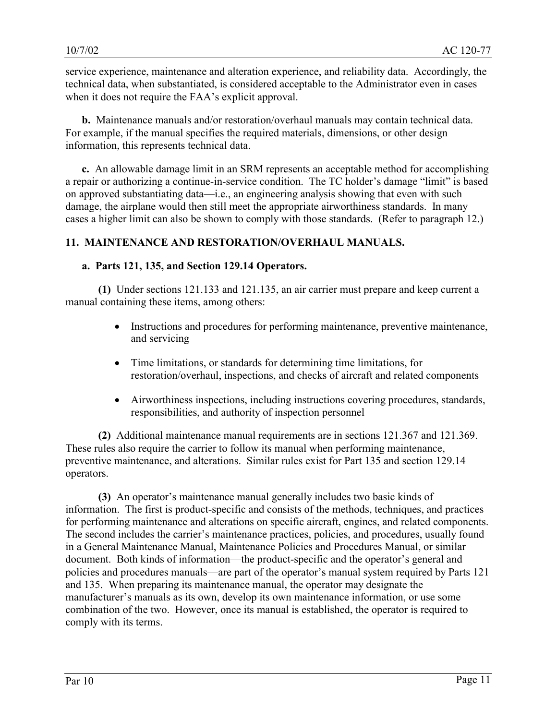service experience, maintenance and alteration experience, and reliability data. Accordingly, the technical data, when substantiated, is considered acceptable to the Administrator even in cases when it does not require the FAA's explicit approval.

**b.** Maintenance manuals and/or restoration/overhaul manuals may contain technical data. For example, if the manual specifies the required materials, dimensions, or other design information, this represents technical data.

**c.** An allowable damage limit in an SRM represents an acceptable method for accomplishing a repair or authorizing a continue-in-service condition. The TC holder's damage "limit" is based on approved substantiating data—i.e., an engineering analysis showing that even with such damage, the airplane would then still meet the appropriate airworthiness standards. In many cases a higher limit can also be shown to comply with those standards. (Refer to paragraph 12.)

## **11. MAINTENANCE AND RESTORATION/OVERHAUL MANUALS.**

#### **a. Parts 121, 135, and Section 129.14 Operators.**

**(1)** Under sections 121.133 and 121.135, an air carrier must prepare and keep current a manual containing these items, among others:

- Instructions and procedures for performing maintenance, preventive maintenance, and servicing
- $\bullet$  Time limitations, or standards for determining time limitations, for restoration/overhaul, inspections, and checks of aircraft and related components
- Airworthiness inspections, including instructions covering procedures, standards, responsibilities, and authority of inspection personnel

**(2)** Additional maintenance manual requirements are in sections 121.367 and 121.369. These rules also require the carrier to follow its manual when performing maintenance, preventive maintenance, and alterations. Similar rules exist for Part 135 and section 129.14 operators.

**(3)** An operator's maintenance manual generally includes two basic kinds of information. The first is product-specific and consists of the methods, techniques, and practices for performing maintenance and alterations on specific aircraft, engines, and related components. The second includes the carrier's maintenance practices, policies, and procedures, usually found in a General Maintenance Manual, Maintenance Policies and Procedures Manual, or similar document. Both kinds of information—the product-specific and the operator's general and policies and procedures manuals—are part of the operator's manual system required by Parts 121 and 135. When preparing its maintenance manual, the operator may designate the manufacturer's manuals as its own, develop its own maintenance information, or use some combination of the two. However, once its manual is established, the operator is required to comply with its terms.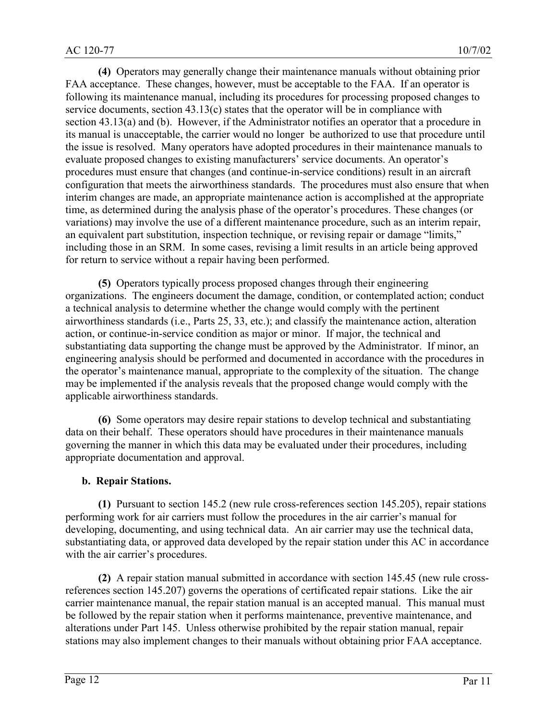**(4)** Operators may generally change their maintenance manuals without obtaining prior FAA acceptance. These changes, however, must be acceptable to the FAA. If an operator is following its maintenance manual, including its procedures for processing proposed changes to service documents, section 43.13(c) states that the operator will be in compliance with section 43.13(a) and (b). However, if the Administrator notifies an operator that a procedure in its manual is unacceptable, the carrier would no longer be authorized to use that procedure until the issue is resolved. Many operators have adopted procedures in their maintenance manuals to evaluate proposed changes to existing manufacturers' service documents. An operator's procedures must ensure that changes (and continue-in-service conditions) result in an aircraft configuration that meets the airworthiness standards. The procedures must also ensure that when interim changes are made, an appropriate maintenance action is accomplished at the appropriate time, as determined during the analysis phase of the operator's procedures. These changes (or variations) may involve the use of a different maintenance procedure, such as an interim repair, an equivalent part substitution, inspection technique, or revising repair or damage "limits," including those in an SRM. In some cases, revising a limit results in an article being approved for return to service without a repair having been performed.

**(5)** Operators typically process proposed changes through their engineering organizations. The engineers document the damage, condition, or contemplated action; conduct a technical analysis to determine whether the change would comply with the pertinent airworthiness standards (i.e., Parts 25, 33, etc.); and classify the maintenance action, alteration action, or continue-in-service condition as major or minor. If major, the technical and substantiating data supporting the change must be approved by the Administrator. If minor, an engineering analysis should be performed and documented in accordance with the procedures in the operator's maintenance manual, appropriate to the complexity of the situation. The change may be implemented if the analysis reveals that the proposed change would comply with the applicable airworthiness standards.

**(6)** Some operators may desire repair stations to develop technical and substantiating data on their behalf. These operators should have procedures in their maintenance manuals governing the manner in which this data may be evaluated under their procedures, including appropriate documentation and approval.

#### **b. Repair Stations.**

**(1)** Pursuant to section 145.2 (new rule cross-references section 145.205), repair stations performing work for air carriers must follow the procedures in the air carrier's manual for developing, documenting, and using technical data. An air carrier may use the technical data, substantiating data, or approved data developed by the repair station under this AC in accordance with the air carrier's procedures.

**(2)** A repair station manual submitted in accordance with section 145.45 (new rule crossreferences section 145.207) governs the operations of certificated repair stations. Like the air carrier maintenance manual, the repair station manual is an accepted manual. This manual must be followed by the repair station when it performs maintenance, preventive maintenance, and alterations under Part 145. Unless otherwise prohibited by the repair station manual, repair stations may also implement changes to their manuals without obtaining prior FAA acceptance.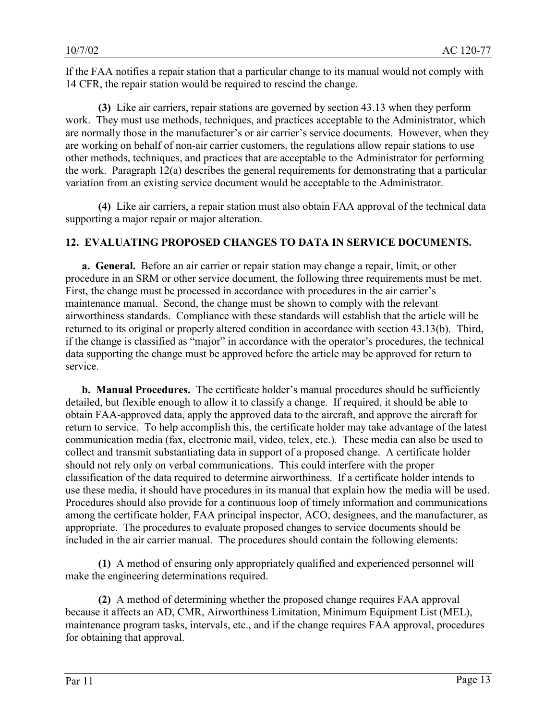If the FAA notifies a repair station that a particular change to its manual would not comply with 14 CFR, the repair station would be required to rescind the change.

**(3)** Like air carriers, repair stations are governed by section 43.13 when they perform work. They must use methods, techniques, and practices acceptable to the Administrator, which are normally those in the manufacturer's or air carrier's service documents. However, when they are working on behalf of non-air carrier customers, the regulations allow repair stations to use other methods, techniques, and practices that are acceptable to the Administrator for performing the work. Paragraph 12(a) describes the general requirements for demonstrating that a particular variation from an existing service document would be acceptable to the Administrator.

**(4)** Like air carriers, a repair station must also obtain FAA approval of the technical data supporting a major repair or major alteration.

#### **12. EVALUATING PROPOSED CHANGES TO DATA IN SERVICE DOCUMENTS.**

**a. General.** Before an air carrier or repair station may change a repair, limit, or other procedure in an SRM or other service document, the following three requirements must be met. First, the change must be processed in accordance with procedures in the air carrier's maintenance manual. Second, the change must be shown to comply with the relevant airworthiness standards. Compliance with these standards will establish that the article will be returned to its original or properly altered condition in accordance with section 43.13(b). Third, if the change is classified as "major" in accordance with the operator's procedures, the technical data supporting the change must be approved before the article may be approved for return to service.

**b. Manual Procedures.** The certificate holder's manual procedures should be sufficiently detailed, but flexible enough to allow it to classify a change. If required, it should be able to obtain FAA-approved data, apply the approved data to the aircraft, and approve the aircraft for return to service. To help accomplish this, the certificate holder may take advantage of the latest communication media (fax, electronic mail, video, telex, etc.). These media can also be used to collect and transmit substantiating data in support of a proposed change. A certificate holder should not rely only on verbal communications. This could interfere with the proper classification of the data required to determine airworthiness. If a certificate holder intends to use these media, it should have procedures in its manual that explain how the media will be used. Procedures should also provide for a continuous loop of timely information and communications among the certificate holder, FAA principal inspector, ACO, designees, and the manufacturer, as appropriate. The procedures to evaluate proposed changes to service documents should be included in the air carrier manual. The procedures should contain the following elements:

**(1)** A method of ensuring only appropriately qualified and experienced personnel will make the engineering determinations required.

**(2)** A method of determining whether the proposed change requires FAA approval because it affects an AD, CMR, Airworthiness Limitation, Minimum Equipment List (MEL), maintenance program tasks, intervals, etc., and if the change requires FAA approval, procedures for obtaining that approval.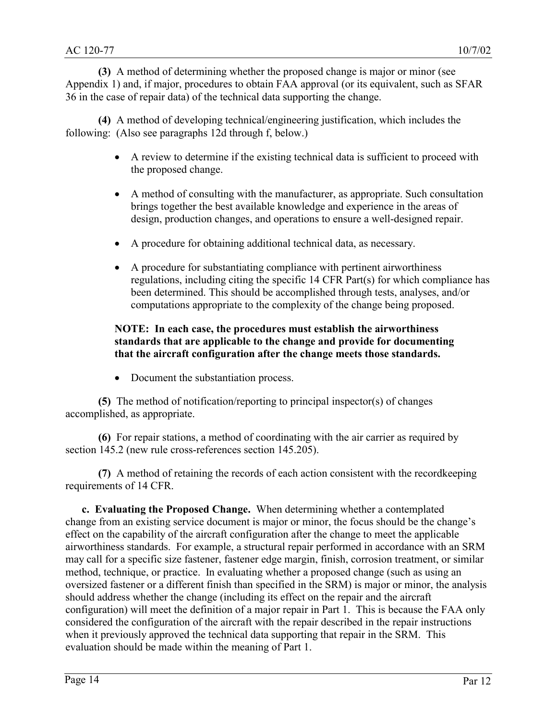**(3)** A method of determining whether the proposed change is major or minor (see Appendix 1) and, if major, procedures to obtain FAA approval (or its equivalent, such as SFAR 36 in the case of repair data) of the technical data supporting the change.

**(4)** A method of developing technical/engineering justification, which includes the following: (Also see paragraphs 12d through f, below.)

- A review to determine if the existing technical data is sufficient to proceed with the proposed change.
- A method of consulting with the manufacturer, as appropriate. Such consultation brings together the best available knowledge and experience in the areas of design, production changes, and operations to ensure a well-designed repair.
- A procedure for obtaining additional technical data, as necessary.
- A procedure for substantiating compliance with pertinent airworthiness regulations, including citing the specific 14 CFR Part(s) for which compliance has been determined. This should be accomplished through tests, analyses, and/or computations appropriate to the complexity of the change being proposed.

#### **NOTE: In each case, the procedures must establish the airworthiness standards that are applicable to the change and provide for documenting that the aircraft configuration after the change meets those standards.**

- Document the substantiation process.

**(5)** The method of notification/reporting to principal inspector(s) of changes accomplished, as appropriate.

**(6)** For repair stations, a method of coordinating with the air carrier as required by section 145.2 (new rule cross-references section 145.205).

**(7)** A method of retaining the records of each action consistent with the recordkeeping requirements of 14 CFR.

**c. Evaluating the Proposed Change.** When determining whether a contemplated change from an existing service document is major or minor, the focus should be the change's effect on the capability of the aircraft configuration after the change to meet the applicable airworthiness standards. For example, a structural repair performed in accordance with an SRM may call for a specific size fastener, fastener edge margin, finish, corrosion treatment, or similar method, technique, or practice. In evaluating whether a proposed change (such as using an oversized fastener or a different finish than specified in the SRM) is major or minor, the analysis should address whether the change (including its effect on the repair and the aircraft configuration) will meet the definition of a major repair in Part 1. This is because the FAA only considered the configuration of the aircraft with the repair described in the repair instructions when it previously approved the technical data supporting that repair in the SRM. This evaluation should be made within the meaning of Part 1.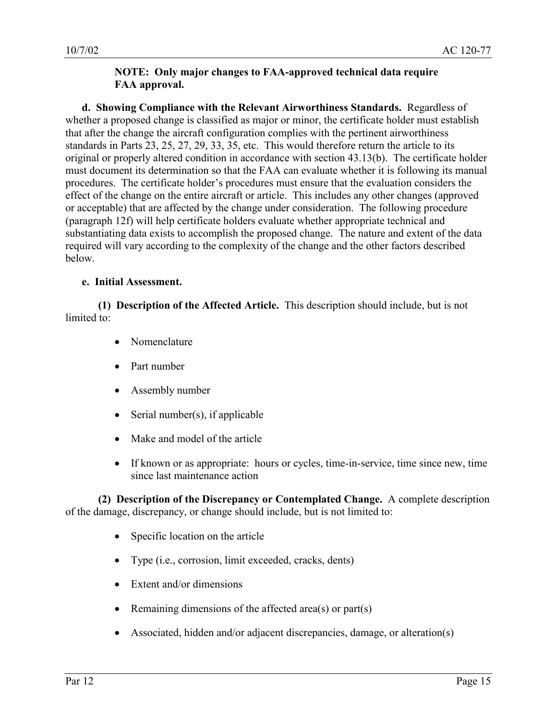#### **NOTE: Only major changes to FAA-approved technical data require FAA approval.**

**d. Showing Compliance with the Relevant Airworthiness Standards.** Regardless of whether a proposed change is classified as major or minor, the certificate holder must establish that after the change the aircraft configuration complies with the pertinent airworthiness standards in Parts 23, 25, 27, 29, 33, 35, etc. This would therefore return the article to its original or properly altered condition in accordance with section 43.13(b). The certificate holder must document its determination so that the FAA can evaluate whether it is following its manual procedures. The certificate holder's procedures must ensure that the evaluation considers the effect of the change on the entire aircraft or article. This includes any other changes (approved or acceptable) that are affected by the change under consideration. The following procedure (paragraph 12f) will help certificate holders evaluate whether appropriate technical and substantiating data exists to accomplish the proposed change. The nature and extent of the data required will vary according to the complexity of the change and the other factors described below.

#### **e. Initial Assessment.**

**(1) Description of the Affected Article.** This description should include, but is not limited to:

- Nomenclature
- Part number
- $\bullet$ Assembly number
- $\bullet$ Serial number(s), if applicable
- $\bullet$ Make and model of the article
- If known or as appropriate: hours or cycles, time-in-service, time since new, time since last maintenance action

**(2) Description of the Discrepancy or Contemplated Change.** A complete description of the damage, discrepancy, or change should include, but is not limited to:

- $\bullet$ Specific location on the article
- $\bullet$ Type (i.e., corrosion, limit exceeded, cracks, dents)
- Extent and/or dimensions
- Remaining dimensions of the affected area(s) or part(s)
- Associated, hidden and/or adjacent discrepancies, damage, or alteration(s)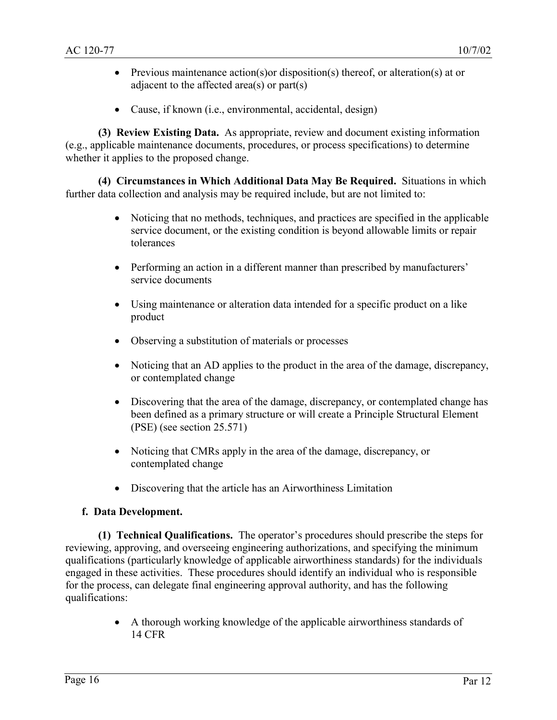- Previous maintenance action(s) or disposition(s) thereof, or alteration(s) at or adjacent to the affected area(s) or part(s)
- Cause, if known (i.e., environmental, accidental, design)

**(3) Review Existing Data.** As appropriate, review and document existing information (e.g., applicable maintenance documents, procedures, or process specifications) to determine whether it applies to the proposed change.

**(4) Circumstances in Which Additional Data May Be Required.** Situations in which further data collection and analysis may be required include, but are not limited to:

- $\bullet$  Noticing that no methods, techniques, and practices are specified in the applicable service document, or the existing condition is beyond allowable limits or repair tolerances
- Performing an action in a different manner than prescribed by manufacturers' service documents
- Using maintenance or alteration data intended for a specific product on a like product
- $\bullet$ Observing a substitution of materials or processes
- Noticing that an AD applies to the product in the area of the damage, discrepancy, or contemplated change
- Discovering that the area of the damage, discrepancy, or contemplated change has been defined as a primary structure or will create a Principle Structural Element (PSE) (see section 25.571)
- Noticing that CMRs apply in the area of the damage, discrepancy, or contemplated change
- Discovering that the article has an Airworthiness Limitation

#### **f. Data Development.**

**(1) Technical Qualifications.** The operator's procedures should prescribe the steps for reviewing, approving, and overseeing engineering authorizations, and specifying the minimum qualifications (particularly knowledge of applicable airworthiness standards) for the individuals engaged in these activities. These procedures should identify an individual who is responsible for the process, can delegate final engineering approval authority, and has the following qualifications:

> - A thorough working knowledge of the applicable airworthiness standards of 14 CFR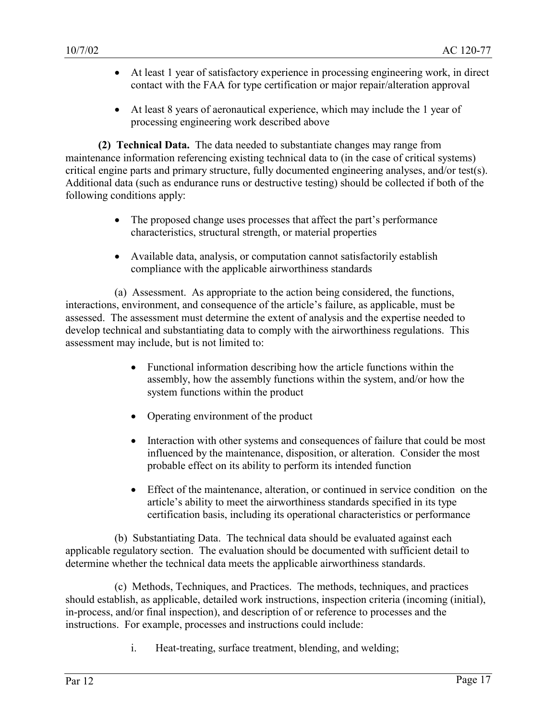- At least 1 year of satisfactory experience in processing engineering work, in direct contact with the FAA for type certification or major repair/alteration approval
- At least 8 years of aeronautical experience, which may include the 1 year of processing engineering work described above

**(2) Technical Data.** The data needed to substantiate changes may range from maintenance information referencing existing technical data to (in the case of critical systems) critical engine parts and primary structure, fully documented engineering analyses, and/or test(s). Additional data (such as endurance runs or destructive testing) should be collected if both of the following conditions apply:

- The proposed change uses processes that affect the part's performance characteristics, structural strength, or material properties
- Available data, analysis, or computation cannot satisfactorily establish compliance with the applicable airworthiness standards

(a) Assessment. As appropriate to the action being considered, the functions, interactions, environment, and consequence of the article's failure, as applicable, must be assessed. The assessment must determine the extent of analysis and the expertise needed to develop technical and substantiating data to comply with the airworthiness regulations. This assessment may include, but is not limited to:

- Functional information describing how the article functions within the assembly, how the assembly functions within the system, and/or how the system functions within the product
- Operating environment of the product
- $\bullet$  Interaction with other systems and consequences of failure that could be most influenced by the maintenance, disposition, or alteration. Consider the most probable effect on its ability to perform its intended function
- Effect of the maintenance, alteration, or continued in service condition on the article's ability to meet the airworthiness standards specified in its type certification basis, including its operational characteristics or performance

(b) Substantiating Data. The technical data should be evaluated against each applicable regulatory section. The evaluation should be documented with sufficient detail to determine whether the technical data meets the applicable airworthiness standards.

(c) Methods, Techniques, and Practices. The methods, techniques, and practices should establish, as applicable, detailed work instructions, inspection criteria (incoming (initial), in-process, and/or final inspection), and description of or reference to processes and the instructions. For example, processes and instructions could include:

i. Heat-treating, surface treatment, blending, and welding;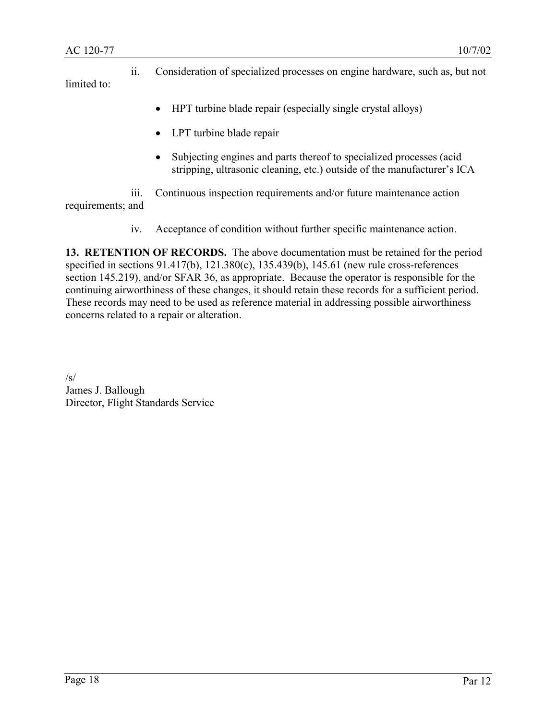ii. Consideration of specialized processes on engine hardware, such as, but not limited to:

- $\bullet$ HPT turbine blade repair (especially single crystal alloys)
- $\bullet$ LPT turbine blade repair
- Subjecting engines and parts thereof to specialized processes (acid stripping, ultrasonic cleaning, etc.) outside of the manufacturer's ICA

iii. Continuous inspection requirements and/or future maintenance action requirements; and

iv. Acceptance of condition without further specific maintenance action.

**13. RETENTION OF RECORDS.** The above documentation must be retained for the period specified in sections 91.417(b), 121.380(c), 135.439(b), 145.61 (new rule cross-references section 145.219), and/or SFAR 36, as appropriate. Because the operator is responsible for the continuing airworthiness of these changes, it should retain these records for a sufficient period. These records may need to be used as reference material in addressing possible airworthiness concerns related to a repair or alteration.

/s/ James J. Ballough Director, Flight Standards Service